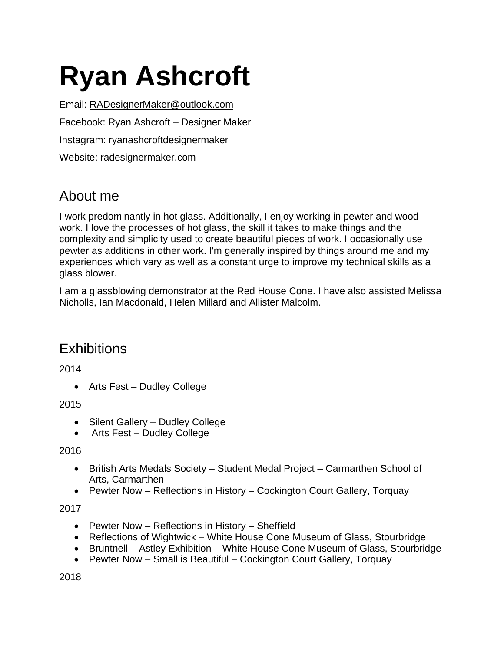# **Ryan Ashcroft**

Email: [RADesignerMaker@outlook.com](mailto:RADesignerMaker@outlook.com) Facebook: Ryan Ashcroft – Designer Maker Instagram: ryanashcroftdesignermaker Website: radesignermaker.com

# About me

I work predominantly in hot glass. Additionally, I enjoy working in pewter and wood work. I love the processes of hot glass, the skill it takes to make things and the complexity and simplicity used to create beautiful pieces of work. I occasionally use pewter as additions in other work. I'm generally inspired by things around me and my experiences which vary as well as a constant urge to improve my technical skills as a glass blower.

I am a glassblowing demonstrator at the Red House Cone. I have also assisted Melissa Nicholls, Ian Macdonald, Helen Millard and Allister Malcolm.

## **Exhibitions**

2014

• Arts Fest – Dudley College

2015

- Silent Gallery Dudley College
- Arts Fest Dudley College

2016

- British Arts Medals Society Student Medal Project Carmarthen School of Arts, Carmarthen
- Pewter Now Reflections in History Cockington Court Gallery, Torquay

#### 2017

- Pewter Now Reflections in History Sheffield
- Reflections of Wightwick White House Cone Museum of Glass, Stourbridge
- Bruntnell Astley Exhibition White House Cone Museum of Glass, Stourbridge
- Pewter Now Small is Beautiful Cockington Court Gallery, Torquay

2018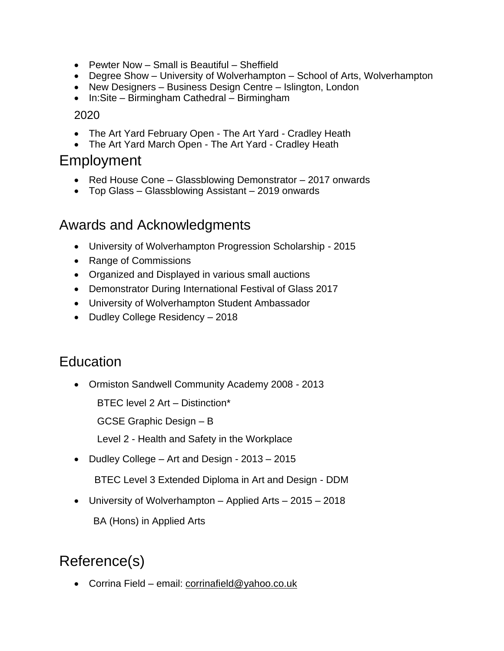- Pewter Now Small is Beautiful Sheffield
- Degree Show University of Wolverhampton School of Arts, Wolverhampton
- New Designers Business Design Centre Islington, London
- In:Site Birmingham Cathedral Birmingham

#### 2020

- The Art Yard February Open The Art Yard Cradley Heath
- The Art Yard March Open The Art Yard Cradley Heath

## Employment

- Red House Cone Glassblowing Demonstrator 2017 onwards
- Top Glass Glassblowing Assistant 2019 onwards

## Awards and Acknowledgments

- University of Wolverhampton Progression Scholarship 2015
- Range of Commissions
- Organized and Displayed in various small auctions
- Demonstrator During International Festival of Glass 2017
- University of Wolverhampton Student Ambassador
- Dudley College Residency 2018

## **Education**

• Ormiston Sandwell Community Academy 2008 - 2013

BTEC level 2 Art – Distinction\*

GCSE Graphic Design – B

Level 2 - Health and Safety in the Workplace

• Dudley College – Art and Design - 2013 – 2015

BTEC Level 3 Extended Diploma in Art and Design - DDM

• University of Wolverhampton – Applied Arts – 2015 – 2018 BA (Hons) in Applied Arts

# Reference(s)

• Corrina Field – email: [corrinafield@yahoo.co.uk](mailto:corrinafield@yahoo.co.uk)